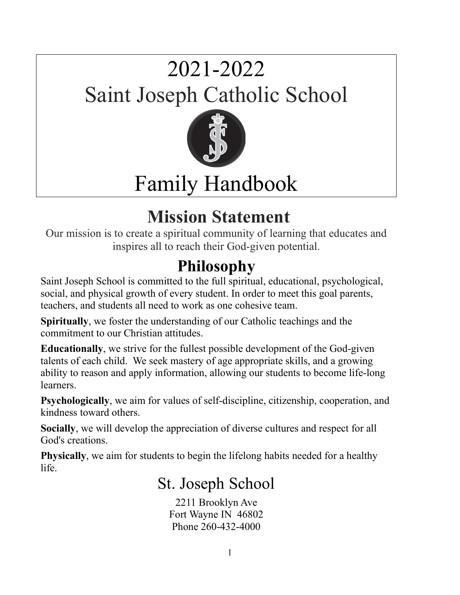# 2021-2022 Saint Joseph Catholic School



# Family Handbook

### **Mission Statement**

Our mission is to create a spiritual community of learning that educates and inspires all to reach their God-given potential.

#### **Philosophy**

Saint Joseph School is committed to the full spiritual, educational, psychological, social, and physical growth of every student. In order to meet this goal parents, teachers, and students all need to work as one cohesive team.

**Spiritually**, we foster the understanding of our Catholic teachings and the commitment to our Christian attitudes.

**Educationally**, we strive for the fullest possible development of the God-given talents of each child. We seek mastery of age appropriate skills, and a growing ability to reason and apply information, allowing our students to become life-long learners.

**Psychologically**, we aim for values of self-discipline, citizenship, cooperation, and kindness toward others.

**Socially**, we will develop the appreciation of diverse cultures and respect for all God's creations.

**Physically**, we aim for students to begin the lifelong habits needed for a healthy life.

#### St. Joseph School

2211 Brooklyn Ave Fort Wayne IN 46802 Phone 260-432-4000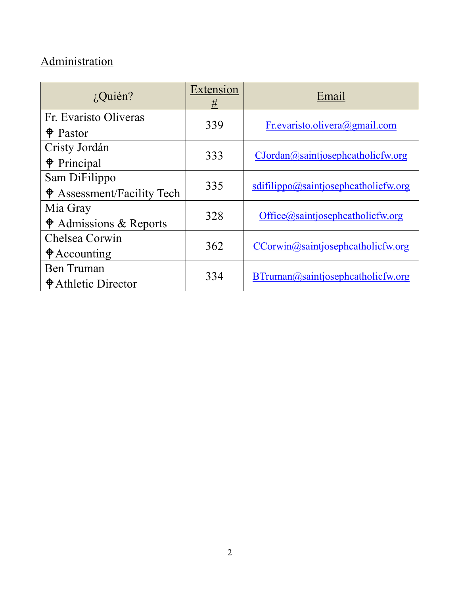#### **Administration**

| $i$ Quién?                         | Extension<br># | Email                                |  |
|------------------------------------|----------------|--------------------------------------|--|
| Fr. Evaristo Oliveras              | 339            | Fr.evaristo.olivera@gmail.com        |  |
| $\oint$ Pastor                     |                |                                      |  |
| Cristy Jordán                      | 333            | CJordan@saintjosephcatholicfw.org    |  |
| $\triangle$ Principal              |                |                                      |  |
| Sam DiFilippo                      | 335            |                                      |  |
| $\bullet$ Assessment/Facility Tech |                | sdifilippo@saintjosephcatholicfw.org |  |
| Mia Gray                           | 328            |                                      |  |
| $\triangle$ Admissions & Reports   |                | Office@saintjosephcatholicfw.org     |  |
| Chelsea Corwin                     | 362            |                                      |  |
| $\bigcirc$ Accounting              |                | CCorwin@saintjosephcatholicfw.org    |  |
| Ben Truman                         | 334            |                                      |  |
| <b>♦ Athletic Director</b>         |                | BTruman@saintjosephcatholicfw.org    |  |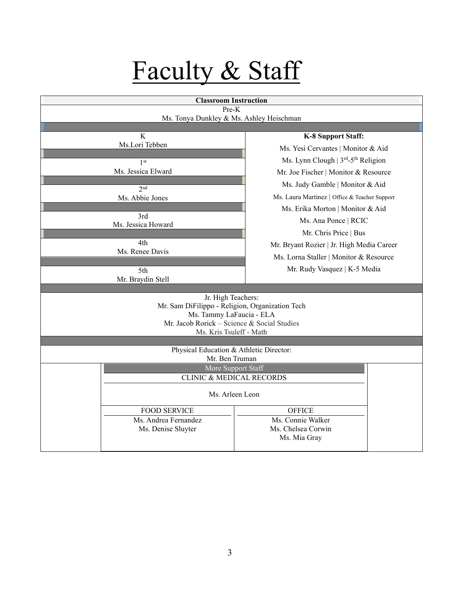# Faculty & Staff

| <b>Classroom Instruction</b>                                          |                                               |  |
|-----------------------------------------------------------------------|-----------------------------------------------|--|
| Pre-K<br>Ms. Tonya Dunkley & Ms. Ashley Heischman                     |                                               |  |
|                                                                       |                                               |  |
| K                                                                     | <b>K-8 Support Staff:</b>                     |  |
| Ms.Lori Tebben                                                        | Ms. Yesi Cervantes   Monitor & Aid            |  |
| 1 <sup>st</sup>                                                       | Ms. Lynn Clough   3rd-5th Religion            |  |
| Ms. Jessica Elward                                                    | Mr. Joe Fischer   Monitor & Resource          |  |
| 2 <sub>nd</sub>                                                       | Ms. Judy Gamble   Monitor & Aid               |  |
| Ms. Abbie Jones                                                       | Ms. Laura Martinez   Office & Teacher Support |  |
|                                                                       | Ms. Erika Morton   Monitor & Aid              |  |
| 3rd<br>Ms. Jessica Howard                                             | Ms. Ana Ponce   RCIC                          |  |
|                                                                       | Mr. Chris Price   Bus                         |  |
| 4th                                                                   | Mr. Bryant Rozier   Jr. High Media Career     |  |
| Ms. Renee Davis                                                       | Ms. Lorna Staller   Monitor & Resource        |  |
| 5th                                                                   | Mr. Rudy Vasquez   K-5 Media                  |  |
| Mr. Braydin Stell                                                     |                                               |  |
|                                                                       |                                               |  |
| Jr. High Teachers:<br>Mr. Sam DiFilippo - Religion, Organization Tech |                                               |  |
| Ms. Tammy LaFaucia - ELA                                              |                                               |  |
| Mr. Jacob Rorick - Science & Social Studies                           |                                               |  |
| Ms. Kris Tsuleff - Math                                               |                                               |  |
| Physical Education & Athletic Director:                               |                                               |  |
| Mr. Ben Truman                                                        |                                               |  |
| More Support Staff                                                    |                                               |  |
| <b>CLINIC &amp; MEDICAL RECORDS</b>                                   |                                               |  |
| Ms. Arleen Leon                                                       |                                               |  |
| <b>FOOD SERVICE</b>                                                   | <b>OFFICE</b>                                 |  |
| Ms. Andrea Fernandez                                                  | Ms. Connie Walker                             |  |
| Ms. Denise Sluyter                                                    | Ms. Chelsea Corwin<br>Ms. Mia Gray            |  |
|                                                                       |                                               |  |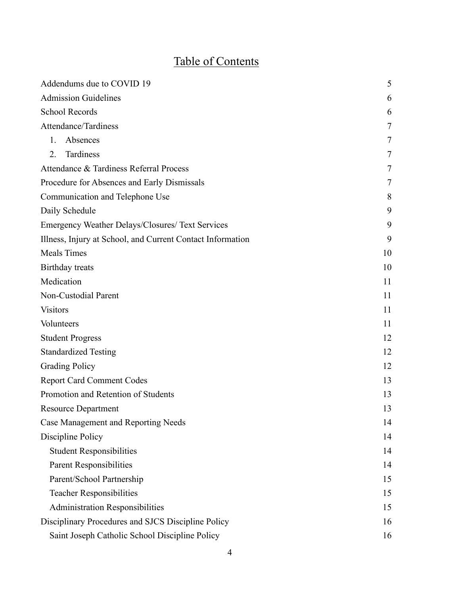#### Table of Contents

| Addendums due to COVID 19                                  |    |
|------------------------------------------------------------|----|
| <b>Admission Guidelines</b>                                | 6  |
| <b>School Records</b>                                      | 6  |
| Attendance/Tardiness                                       | 7  |
| Absences<br>$1_{-}$                                        | 7  |
| Tardiness<br>2.                                            | 7  |
| Attendance & Tardiness Referral Process                    | 7  |
| Procedure for Absences and Early Dismissals                | 7  |
| Communication and Telephone Use                            | 8  |
| Daily Schedule                                             | 9  |
| Emergency Weather Delays/Closures/ Text Services           | 9  |
| Illness, Injury at School, and Current Contact Information | 9  |
| <b>Meals Times</b>                                         | 10 |
| Birthday treats                                            | 10 |
| Medication                                                 | 11 |
| Non-Custodial Parent                                       | 11 |
| <b>Visitors</b>                                            | 11 |
| Volunteers                                                 | 11 |
| <b>Student Progress</b>                                    | 12 |
| <b>Standardized Testing</b>                                | 12 |
| <b>Grading Policy</b>                                      | 12 |
| <b>Report Card Comment Codes</b>                           | 13 |
| Promotion and Retention of Students                        | 13 |
| <b>Resource Department</b>                                 | 13 |
| <b>Case Management and Reporting Needs</b>                 | 14 |
| Discipline Policy                                          | 14 |
| <b>Student Responsibilities</b>                            | 14 |
| Parent Responsibilities                                    | 14 |
| Parent/School Partnership                                  | 15 |
| <b>Teacher Responsibilities</b>                            | 15 |
| <b>Administration Responsibilities</b>                     | 15 |
| Disciplinary Procedures and SJCS Discipline Policy         | 16 |
| Saint Joseph Catholic School Discipline Policy             | 16 |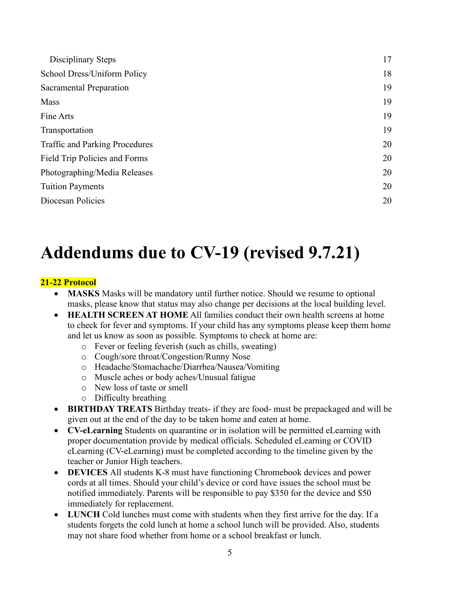| Disciplinary Steps                    | 17 |
|---------------------------------------|----|
| School Dress/Uniform Policy           | 18 |
| Sacramental Preparation               | 19 |
| Mass                                  | 19 |
| Fine Arts                             | 19 |
| Transportation                        | 19 |
| <b>Traffic and Parking Procedures</b> | 20 |
| Field Trip Policies and Forms         | 20 |
| Photographing/Media Releases          | 20 |
| <b>Tuition Payments</b>               | 20 |
| Diocesan Policies                     | 20 |

#### **Addendums due to CV-19 (revised 9.7.21)**

#### **21-22 Protocol**

- **MASKS** Masks will be mandatory until further notice. Should we resume to optional masks, please know that status may also change per decisions at the local building level.
- **HEALTH SCREEN AT HOME** All families conduct their own health screens at home to check for fever and symptoms. If your child has any symptoms please keep them home and let us know as soon as possible. Symptoms to check at home are:
	- o Fever or feeling feverish (such as chills, sweating)
	- o Cough/sore throat/Congestion/Runny Nose
	- o Headache/Stomachache/Diarrhea/Nausea/Vomiting
	- o Muscle aches or body aches/Unusual fatigue
	- o New loss of taste or smell
	- o Difficulty breathing
- **BIRTHDAY TREATS** Birthday treats- if they are food- must be prepackaged and will be given out at the end of the day to be taken home and eaten at home.
- **CV-eLearning** Students on quarantine or in isolation will be permitted eLearning with proper documentation provide by medical officials. Scheduled eLearning or COVID eLearning (CV-eLearning) must be completed according to the timeline given by the teacher or Junior High teachers.
- **DEVICES** All students K-8 must have functioning Chromebook devices and power cords at all times. Should your child's device or cord have issues the school must be notified immediately. Parents will be responsible to pay \$350 for the device and \$50 immediately for replacement.
- **LUNCH** Cold lunches must come with students when they first arrive for the day. If a students forgets the cold lunch at home a school lunch will be provided. Also, students may not share food whether from home or a school breakfast or lunch.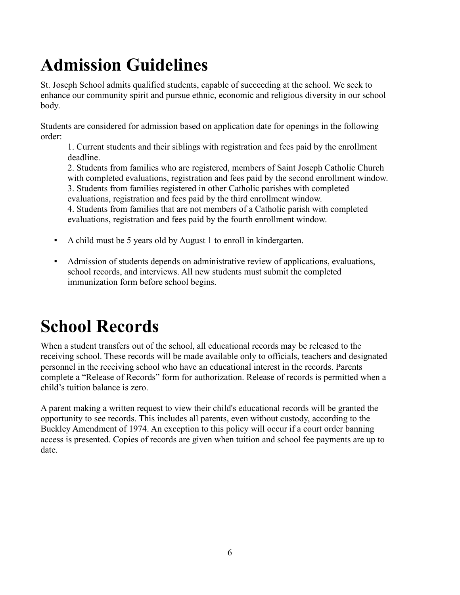## **Admission Guidelines**

St. Joseph School admits qualified students, capable of succeeding at the school. We seek to enhance our community spirit and pursue ethnic, economic and religious diversity in our school body.

Students are considered for admission based on application date for openings in the following order:

1. Current students and their siblings with registration and fees paid by the enrollment deadline.

2. Students from families who are registered, members of Saint Joseph Catholic Church with completed evaluations, registration and fees paid by the second enrollment window.

3. Students from families registered in other Catholic parishes with completed

evaluations, registration and fees paid by the third enrollment window.

4. Students from families that are not members of a Catholic parish with completed evaluations, registration and fees paid by the fourth enrollment window.

- A child must be 5 years old by August 1 to enroll in kindergarten.
- Admission of students depends on administrative review of applications, evaluations, school records, and interviews. All new students must submit the completed immunization form before school begins.

### **School Records**

When a student transfers out of the school, all educational records may be released to the receiving school. These records will be made available only to officials, teachers and designated personnel in the receiving school who have an educational interest in the records. Parents complete a "Release of Records" form for authorization. Release of records is permitted when a child's tuition balance is zero.

A parent making a written request to view their child's educational records will be granted the opportunity to see records. This includes all parents, even without custody, according to the Buckley Amendment of 1974. An exception to this policy will occur if a court order banning access is presented. Copies of records are given when tuition and school fee payments are up to date.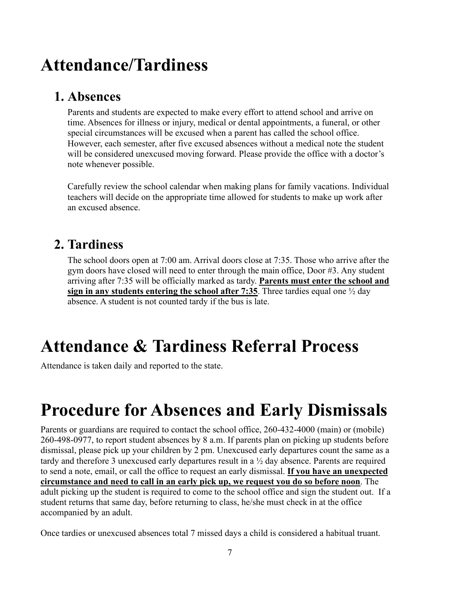#### **Attendance/Tardiness**

#### **1. Absences**

Parents and students are expected to make every effort to attend school and arrive on time. Absences for illness or injury, medical or dental appointments, a funeral, or other special circumstances will be excused when a parent has called the school office. However, each semester, after five excused absences without a medical note the student will be considered unexcused moving forward. Please provide the office with a doctor's note whenever possible.

Carefully review the school calendar when making plans for family vacations. Individual teachers will decide on the appropriate time allowed for students to make up work after an excused absence.

#### **2. Tardiness**

The school doors open at 7:00 am. Arrival doors close at 7:35. Those who arrive after the gym doors have closed will need to enter through the main office, Door #3. Any student arriving after 7:35 will be officially marked as tardy. **Parents must enter the school and sign in any students entering the school after 7:35**. Three tardies equal one  $\frac{1}{2}$  day absence. A student is not counted tardy if the bus is late.

### **Attendance & Tardiness Referral Process**

Attendance is taken daily and reported to the state.

### **Procedure for Absences and Early Dismissals**

Parents or guardians are required to contact the school office, 260-432-4000 (main) or (mobile) 260-498-0977, to report student absences by 8 a.m. If parents plan on picking up students before dismissal, please pick up your children by 2 pm. Unexcused early departures count the same as a tardy and therefore 3 unexcused early departures result in a ½ day absence. Parents are required to send a note, email, or call the office to request an early dismissal. **If you have an unexpected circumstance and need to call in an early pick up, we request you do so before noon**. The adult picking up the student is required to come to the school office and sign the student out. If a student returns that same day, before returning to class, he/she must check in at the office accompanied by an adult.

Once tardies or unexcused absences total 7 missed days a child is considered a habitual truant.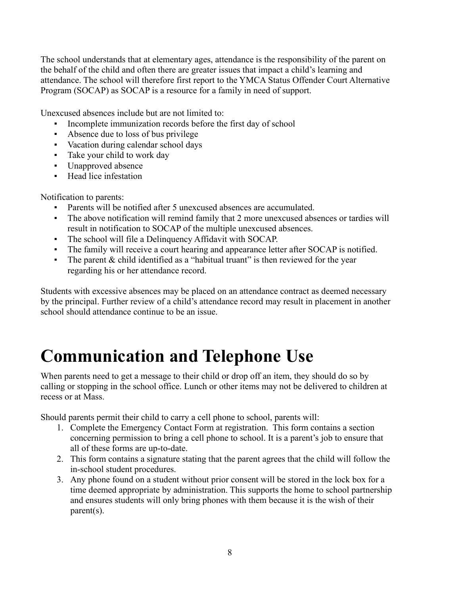The school understands that at elementary ages, attendance is the responsibility of the parent on the behalf of the child and often there are greater issues that impact a child's learning and attendance. The school will therefore first report to the YMCA Status Offender Court Alternative Program (SOCAP) as SOCAP is a resource for a family in need of support.

Unexcused absences include but are not limited to:

- Incomplete immunization records before the first day of school
- Absence due to loss of bus privilege
- Vacation during calendar school days
- Take your child to work day
- Unapproved absence
- Head lice infestation

Notification to parents:

- Parents will be notified after 5 unexcused absences are accumulated.
- The above notification will remind family that 2 more unexcused absences or tardies will result in notification to SOCAP of the multiple unexcused absences.
- The school will file a Delinquency Affidavit with SOCAP.
- The family will receive a court hearing and appearance letter after SOCAP is notified.
- The parent  $&$  child identified as a "habitual truant" is then reviewed for the year regarding his or her attendance record.

Students with excessive absences may be placed on an attendance contract as deemed necessary by the principal. Further review of a child's attendance record may result in placement in another school should attendance continue to be an issue.

### **Communication and Telephone Use**

When parents need to get a message to their child or drop off an item, they should do so by calling or stopping in the school office. Lunch or other items may not be delivered to children at recess or at Mass.

Should parents permit their child to carry a cell phone to school, parents will:

- 1. Complete the Emergency Contact Form at registration. This form contains a section concerning permission to bring a cell phone to school. It is a parent's job to ensure that all of these forms are up-to-date.
- 2. This form contains a signature stating that the parent agrees that the child will follow the in-school student procedures.
- 3. Any phone found on a student without prior consent will be stored in the lock box for a time deemed appropriate by administration. This supports the home to school partnership and ensures students will only bring phones with them because it is the wish of their parent(s).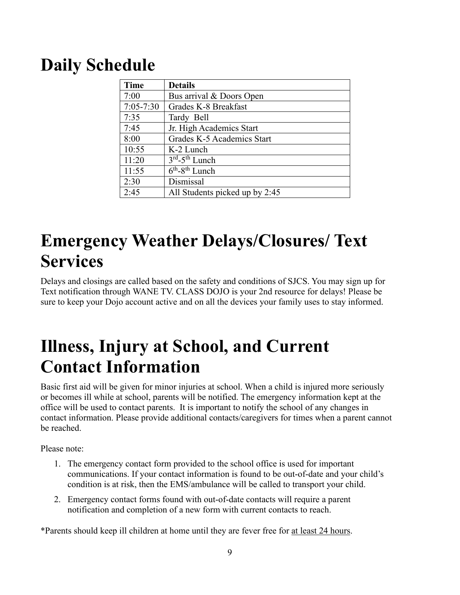#### **Daily Schedule**

| <b>Time</b>   | <b>Details</b>                             |
|---------------|--------------------------------------------|
| 7:00          | Bus arrival & Doors Open                   |
| $7:05 - 7:30$ | Grades K-8 Breakfast                       |
| 7:35          | Tardy Bell                                 |
| 7:45          | Jr. High Academics Start                   |
| 8:00          | Grades K-5 Academics Start                 |
| 10:55         | K-2 Lunch                                  |
| 11:20         | $3rd - 5th$ Lunch                          |
| 11:55         | $\overline{6^{th}}$ -8 <sup>th</sup> Lunch |
| 2:30          | Dismissal                                  |
| 2:45          | All Students picked up by 2:45             |

#### **Emergency Weather Delays/Closures/ Text Services**

Delays and closings are called based on the safety and conditions of SJCS. You may sign up for Text notification through WANE TV. CLASS DOJO is your 2nd resource for delays! Please be sure to keep your Dojo account active and on all the devices your family uses to stay informed.

#### **Illness, Injury at School, and Current Contact Information**

Basic first aid will be given for minor injuries at school. When a child is injured more seriously or becomes ill while at school, parents will be notified. The emergency information kept at the office will be used to contact parents. It is important to notify the school of any changes in contact information. Please provide additional contacts/caregivers for times when a parent cannot be reached.

Please note:

- 1. The emergency contact form provided to the school office is used for important communications. If your contact information is found to be out-of-date and your child's condition is at risk, then the EMS/ambulance will be called to transport your child.
- 2. Emergency contact forms found with out-of-date contacts will require a parent notification and completion of a new form with current contacts to reach.

\*Parents should keep ill children at home until they are fever free for at least 24 hours.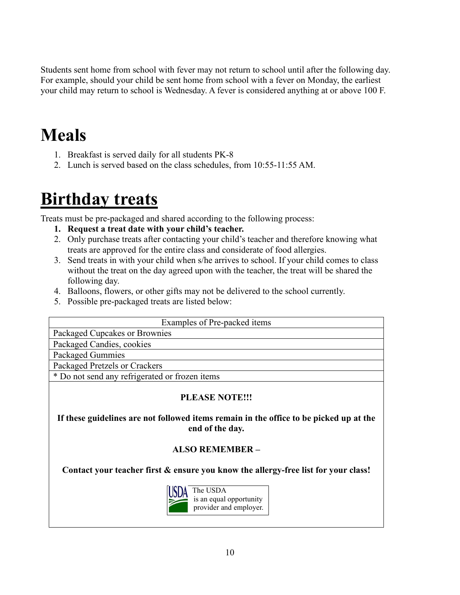Students sent home from school with fever may not return to school until after the following day. For example, should your child be sent home from school with a fever on Monday, the earliest your child may return to school is Wednesday. A fever is considered anything at or above 100 F.

#### **Meals**

- 1. Breakfast is served daily for all students PK-8
- 2. Lunch is served based on the class schedules, from 10:55-11:55 AM.

#### **Birthday treats**

Treats must be pre-packaged and shared according to the following process:

- **1. Request a treat date with your child's teacher.**
- 2. Only purchase treats after contacting your child's teacher and therefore knowing what treats are approved for the entire class and considerate of food allergies.
- 3. Send treats in with your child when s/he arrives to school. If your child comes to class without the treat on the day agreed upon with the teacher, the treat will be shared the following day.
- 4. Balloons, flowers, or other gifts may not be delivered to the school currently.
- 5. Possible pre-packaged treats are listed below:

| Examples of Pre-packed items                   |  |  |
|------------------------------------------------|--|--|
| Packaged Cupcakes or Brownies                  |  |  |
| Packaged Candies, cookies                      |  |  |
| Packaged Gummies                               |  |  |
| Packaged Pretzels or Crackers                  |  |  |
| * Do not send any refrigerated or frozen items |  |  |
|                                                |  |  |

#### **PLEASE NOTE!!!**

**If these guidelines are not followed items remain in the office to be picked up at the end of the day.**

#### **ALSO REMEMBER –**

**Contact your teacher first & ensure you know the allergy-free list for your class!**

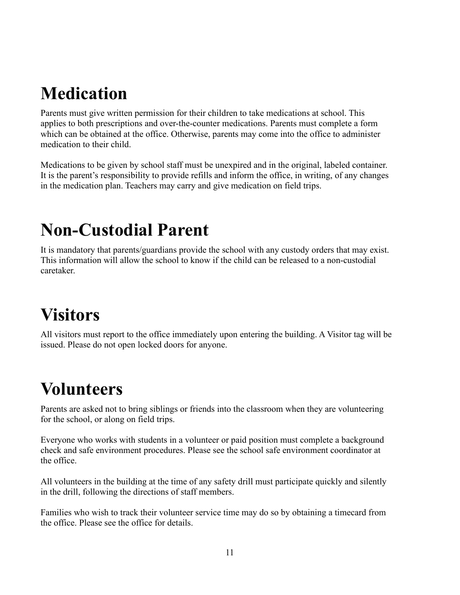#### **Medication**

Parents must give written permission for their children to take medications at school. This applies to both prescriptions and over-the-counter medications. Parents must complete a form which can be obtained at the office. Otherwise, parents may come into the office to administer medication to their child.

Medications to be given by school staff must be unexpired and in the original, labeled container. It is the parent's responsibility to provide refills and inform the office, in writing, of any changes in the medication plan. Teachers may carry and give medication on field trips.

#### **Non-Custodial Parent**

It is mandatory that parents/guardians provide the school with any custody orders that may exist. This information will allow the school to know if the child can be released to a non-custodial caretaker.

## **Visitors**

All visitors must report to the office immediately upon entering the building. A Visitor tag will be issued. Please do not open locked doors for anyone.

### **Volunteers**

Parents are asked not to bring siblings or friends into the classroom when they are volunteering for the school, or along on field trips.

Everyone who works with students in a volunteer or paid position must complete a background check and safe environment procedures. Please see the school safe environment coordinator at the office.

All volunteers in the building at the time of any safety drill must participate quickly and silently in the drill, following the directions of staff members.

Families who wish to track their volunteer service time may do so by obtaining a timecard from the office. Please see the office for details.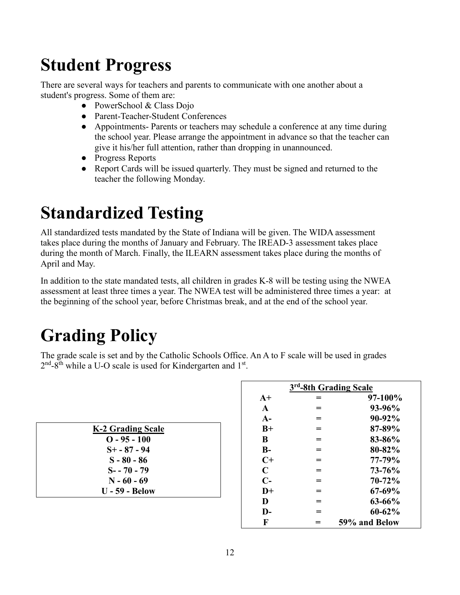### **Student Progress**

There are several ways for teachers and parents to communicate with one another about a student's progress. Some of them are:

- PowerSchool & Class Dojo
- Parent-Teacher-Student Conferences
- Appointments- Parents or teachers may schedule a conference at any time during the school year. Please arrange the appointment in advance so that the teacher can give it his/her full attention, rather than dropping in unannounced.
- Progress Reports
- Report Cards will be issued quarterly. They must be signed and returned to the teacher the following Monday.

#### **Standardized Testing**

All standardized tests mandated by the State of Indiana will be given. The WIDA assessment takes place during the months of January and February. The IREAD-3 assessment takes place during the month of March. Finally, the ILEARN assessment takes place during the months of April and May.

In addition to the state mandated tests, all children in grades K-8 will be testing using the NWEA assessment at least three times a year. The NWEA test will be administered three times a year: at the beginning of the school year, before Christmas break, and at the end of the school year.

## **Grading Policy**

The grade scale is set and by the Catholic Schools Office. An A to F scale will be used in grades  $2<sup>nd</sup>-8<sup>th</sup>$  while a U-O scale is used for Kindergarten and  $1<sup>st</sup>$ .

| K-2 Grading Scale     |  |
|-----------------------|--|
| $O - 95 - 100$        |  |
| $S_{+}$ - 87 - 94     |  |
| $S - 80 - 86$         |  |
| $S - 70 - 79$         |  |
| $N - 60 - 69$         |  |
| <b>U</b> - 59 - Below |  |

| 3 <sup>rd</sup> -8th Grading Scale |     |               |
|------------------------------------|-----|---------------|
| $A+$                               |     | 97-100%       |
| $\mathbf{A}$                       |     | 93-96%        |
| $A-$                               | =   | 90-92%        |
| $B+$                               | $=$ | 87-89%        |
| B                                  |     | 83-86%        |
| $B-$                               | $=$ | 80-82%        |
| $C+$                               |     | 77-79%        |
| $\mathbf C$                        |     | 73-76%        |
| $C-$                               | =   | $70 - 72%$    |
| $D+$                               |     | 67-69%        |
| D                                  | =   | $63 - 66%$    |
| D-                                 | =   | $60 - 62%$    |
| F                                  |     | 59% and Below |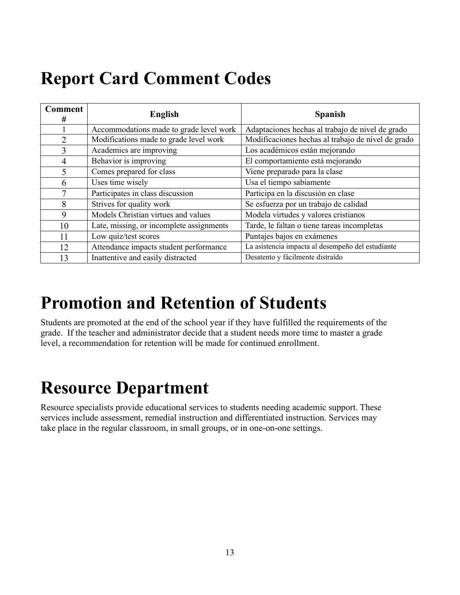### **Report Card Comment Codes**

| <b>Comment</b><br>#      | <b>English</b>                           | <b>Spanish</b>                                     |
|--------------------------|------------------------------------------|----------------------------------------------------|
|                          | Accommodations made to grade level work  | Adaptaciones hechas al trabajo de nivel de grado   |
| $\overline{2}$           | Modifications made to grade level work   | Modificaciones hechas al trabajo de nivel de grado |
| $\overline{3}$           | Academics are improving                  | Los académicos están mejorando                     |
| 4                        | Behavior is improving                    | El comportamiento está mejorando                   |
| $\overline{\mathcal{L}}$ | Comes prepared for class                 | Viene preparado para la clase                      |
| 6                        | Uses time wisely                         | Usa el tiempo sabiamente                           |
| 7                        | Participates in class discussion         | Participa en la discusión en clase                 |
| 8                        | Strives for quality work                 | Se esfuerza por un trabajo de calidad              |
| 9                        | Models Christian virtues and values      | Modela virtudes y valores cristianos               |
| 10                       | Late, missing, or incomplete assignments | Tarde, le faltan o tiene tareas incompletas        |
| 11                       | Low quiz/test scores                     | Puntajes bajos en exámenes                         |
| 12                       | Attendance impacts student performance   | La asistencia impacta al desempeño del estudiante  |
| 13                       | Inattentive and easily distracted        | Desatento y fácilmente distraído                   |

#### **Promotion and Retention of Students**

Students are promoted at the end of the school year if they have fulfilled the requirements of the grade. If the teacher and administrator decide that a student needs more time to master a grade level, a recommendation for retention will be made for continued enrollment.

#### **Resource Department**

Resource specialists provide educational services to students needing academic support. These services include assessment, remedial instruction and differentiated instruction. Services may take place in the regular classroom, in small groups, or in one-on-one settings.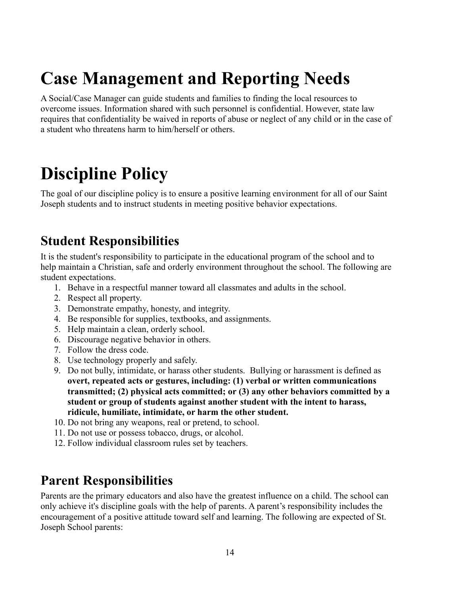## **Case Management and Reporting Needs**

A Social/Case Manager can guide students and families to finding the local resources to overcome issues. Information shared with such personnel is confidential. However, state law requires that confidentiality be waived in reports of abuse or neglect of any child or in the case of a student who threatens harm to him/herself or others.

#### **Discipline Policy**

The goal of our discipline policy is to ensure a positive learning environment for all of our Saint Joseph students and to instruct students in meeting positive behavior expectations.

#### **Student Responsibilities**

It is the student's responsibility to participate in the educational program of the school and to help maintain a Christian, safe and orderly environment throughout the school. The following are student expectations.

- 1. Behave in a respectful manner toward all classmates and adults in the school.
- 2. Respect all property.
- 3. Demonstrate empathy, honesty, and integrity.
- 4. Be responsible for supplies, textbooks, and assignments.
- 5. Help maintain a clean, orderly school.
- 6. Discourage negative behavior in others.
- 7. Follow the dress code.
- 8. Use technology properly and safely.
- 9. Do not bully, intimidate, or harass other students. Bullying or harassment is defined as **overt, repeated acts or gestures, including: (1) verbal or written communications transmitted; (2) physical acts committed; or (3) any other behaviors committed by a student or group of students against another student with the intent to harass, ridicule, humiliate, intimidate, or harm the other student.**
- 10. Do not bring any weapons, real or pretend, to school.
- 11. Do not use or possess tobacco, drugs, or alcohol.
- 12. Follow individual classroom rules set by teachers.

#### **Parent Responsibilities**

Parents are the primary educators and also have the greatest influence on a child. The school can only achieve it's discipline goals with the help of parents. A parent's responsibility includes the encouragement of a positive attitude toward self and learning. The following are expected of St. Joseph School parents: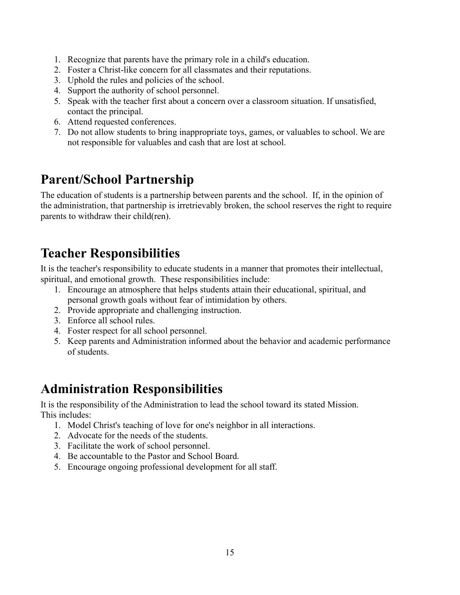- 1. Recognize that parents have the primary role in a child's education.
- 2. Foster a Christ-like concern for all classmates and their reputations.
- 3. Uphold the rules and policies of the school.
- 4. Support the authority of school personnel.
- 5. Speak with the teacher first about a concern over a classroom situation. If unsatisfied, contact the principal.
- 6. Attend requested conferences.
- 7. Do not allow students to bring inappropriate toys, games, or valuables to school. We are not responsible for valuables and cash that are lost at school.

#### **Parent/School Partnership**

The education of students is a partnership between parents and the school. If, in the opinion of the administration, that partnership is irretrievably broken, the school reserves the right to require parents to withdraw their child(ren).

#### **Teacher Responsibilities**

It is the teacher's responsibility to educate students in a manner that promotes their intellectual, spiritual, and emotional growth. These responsibilities include:

- 1. Encourage an atmosphere that helps students attain their educational, spiritual, and personal growth goals without fear of intimidation by others.
- 2. Provide appropriate and challenging instruction.
- 3. Enforce all school rules.
- 4. Foster respect for all school personnel.
- 5. Keep parents and Administration informed about the behavior and academic performance of students.

#### **Administration Responsibilities**

It is the responsibility of the Administration to lead the school toward its stated Mission. This includes:

- 1. Model Christ's teaching of love for one's neighbor in all interactions.
- 2. Advocate for the needs of the students.
- 3. Facilitate the work of school personnel.
- 4. Be accountable to the Pastor and School Board.
- 5. Encourage ongoing professional development for all staff.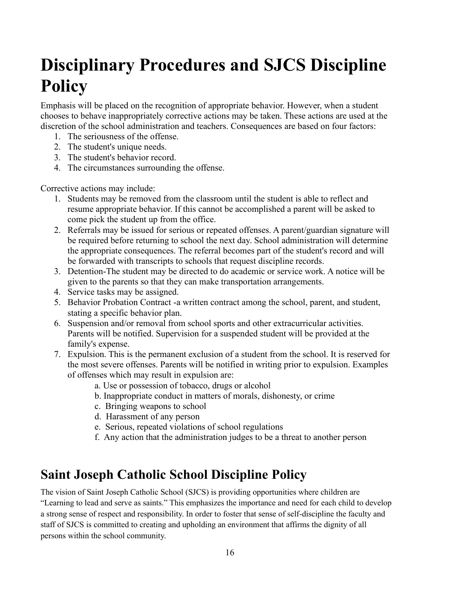### **Disciplinary Procedures and SJCS Discipline Policy**

Emphasis will be placed on the recognition of appropriate behavior. However, when a student chooses to behave inappropriately corrective actions may be taken. These actions are used at the discretion of the school administration and teachers. Consequences are based on four factors:

- 1. The seriousness of the offense.
- 2. The student's unique needs.
- 3. The student's behavior record.
- 4. The circumstances surrounding the offense.

Corrective actions may include:

- 1. Students may be removed from the classroom until the student is able to reflect and resume appropriate behavior. If this cannot be accomplished a parent will be asked to come pick the student up from the office.
- 2. Referrals may be issued for serious or repeated offenses. A parent/guardian signature will be required before returning to school the next day. School administration will determine the appropriate consequences. The referral becomes part of the student's record and will be forwarded with transcripts to schools that request discipline records.
- 3. Detention-The student may be directed to do academic or service work. A notice will be given to the parents so that they can make transportation arrangements.
- 4. Service tasks may be assigned.
- 5. Behavior Probation Contract -a written contract among the school, parent, and student, stating a specific behavior plan.
- 6. Suspension and/or removal from school sports and other extracurricular activities. Parents will be notified. Supervision for a suspended student will be provided at the family's expense.
- 7. Expulsion. This is the permanent exclusion of a student from the school. It is reserved for the most severe offenses. Parents will be notified in writing prior to expulsion. Examples of offenses which may result in expulsion are:
	- a. Use or possession of tobacco, drugs or alcohol
	- b. Inappropriate conduct in matters of morals, dishonesty, or crime
	- c. Bringing weapons to school
	- d. Harassment of any person
	- e. Serious, repeated violations of school regulations
	- f. Any action that the administration judges to be a threat to another person

#### **Saint Joseph Catholic School Discipline Policy**

The vision of Saint Joseph Catholic School (SJCS) is providing opportunities where children are "Learning to lead and serve as saints." This emphasizes the importance and need for each child to develop a strong sense of respect and responsibility. In order to foster that sense of self-discipline the faculty and staff of SJCS is committed to creating and upholding an environment that affirms the dignity of all persons within the school community.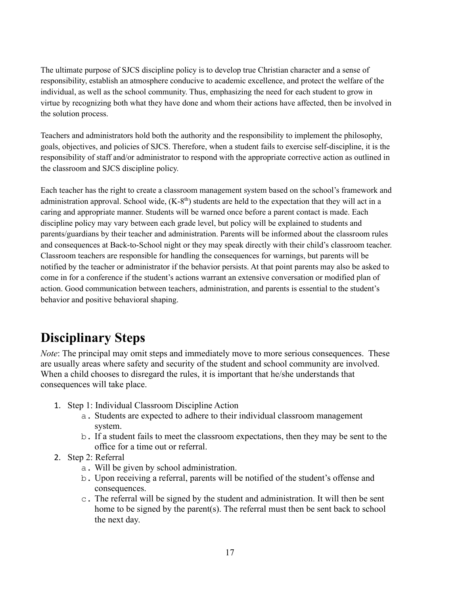The ultimate purpose of SJCS discipline policy is to develop true Christian character and a sense of responsibility, establish an atmosphere conducive to academic excellence, and protect the welfare of the individual, as well as the school community. Thus, emphasizing the need for each student to grow in virtue by recognizing both what they have done and whom their actions have affected, then be involved in the solution process.

Teachers and administrators hold both the authority and the responsibility to implement the philosophy, goals, objectives, and policies of SJCS. Therefore, when a student fails to exercise self-discipline, it is the responsibility of staff and/or administrator to respond with the appropriate corrective action as outlined in the classroom and SJCS discipline policy.

Each teacher has the right to create a classroom management system based on the school's framework and administration approval. School wide,  $(K-8<sup>th</sup>)$  students are held to the expectation that they will act in a caring and appropriate manner. Students will be warned once before a parent contact is made. Each discipline policy may vary between each grade level, but policy will be explained to students and parents/guardians by their teacher and administration. Parents will be informed about the classroom rules and consequences at Back-to-School night or they may speak directly with their child's classroom teacher. Classroom teachers are responsible for handling the consequences for warnings, but parents will be notified by the teacher or administrator if the behavior persists. At that point parents may also be asked to come in for a conference if the student's actions warrant an extensive conversation or modified plan of action. Good communication between teachers, administration, and parents is essential to the student's behavior and positive behavioral shaping.

#### **Disciplinary Steps**

*Note*: The principal may omit steps and immediately move to more serious consequences. These are usually areas where safety and security of the student and school community are involved. When a child chooses to disregard the rules, it is important that he/she understands that consequences will take place.

- 1. Step 1: Individual Classroom Discipline Action
	- a. Students are expected to adhere to their individual classroom management system.
	- b. If a student fails to meet the classroom expectations, then they may be sent to the office for a time out or referral.
- 2. Step 2: Referral
	- a. Will be given by school administration.
	- b. Upon receiving a referral, parents will be notified of the student's offense and consequences.
	- c. The referral will be signed by the student and administration. It will then be sent home to be signed by the parent(s). The referral must then be sent back to school the next day.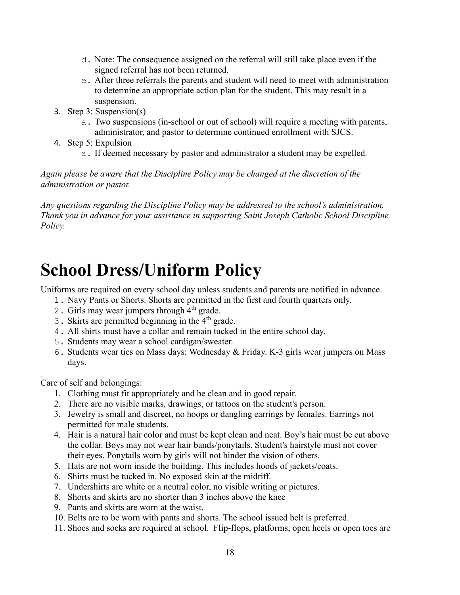- d. Note: The consequence assigned on the referral will still take place even if the signed referral has not been returned.
- e. After three referrals the parents and student will need to meet with administration to determine an appropriate action plan for the student. This may result in a suspension.
- 3. Step 3: Suspension(s)
	- a. Two suspensions (in-school or out of school) will require a meeting with parents, administrator, and pastor to determine continued enrollment with SJCS.
- 4. Step 5: Expulsion
	- a. If deemed necessary by pastor and administrator a student may be expelled.

*Again please be aware that the Discipline Policy may be changed at the discretion of the administration or pastor.* 

*Any questions regarding the Discipline Policy may be addressed to the school's administration. Thank you in advance for your assistance in supporting Saint Joseph Catholic School Discipline Policy.*

#### **School Dress/Uniform Policy**

Uniforms are required on every school day unless students and parents are notified in advance.

- 1. Navy Pants or Shorts. Shorts are permitted in the first and fourth quarters only.
- 2. Girls may wear jumpers through 4<sup>th</sup> grade.
- 3. Skirts are permitted beginning in the  $4<sup>th</sup>$  grade.
- 4. All shirts must have a collar and remain tucked in the entire school day.
- 5. Students may wear a school cardigan/sweater.
- 6. Students wear ties on Mass days: Wednesday & Friday. K-3 girls wear jumpers on Mass days.

Care of self and belongings:

- 1. Clothing must fit appropriately and be clean and in good repair.
- 2. There are no visible marks, drawings, or tattoos on the student's person.
- 3. Jewelry is small and discreet, no hoops or dangling earrings by females. Earrings not permitted for male students.
- 4. Hair is a natural hair color and must be kept clean and neat. Boy's hair must be cut above the collar. Boys may not wear hair bands/ponytails. Student's hairstyle must not cover their eyes. Ponytails worn by girls will not hinder the vision of others.
- 5. Hats are not worn inside the building. This includes hoods of jackets/coats.
- 6. Shirts must be tucked in. No exposed skin at the midriff.
- 7. Undershirts are white or a neutral color, no visible writing or pictures.
- 8. Shorts and skirts are no shorter than 3 inches above the knee
- 9. Pants and skirts are worn at the waist.
- 10. Belts are to be worn with pants and shorts. The school issued belt is preferred.
- 11. Shoes and socks are required at school. Flip-flops, platforms, open heels or open toes are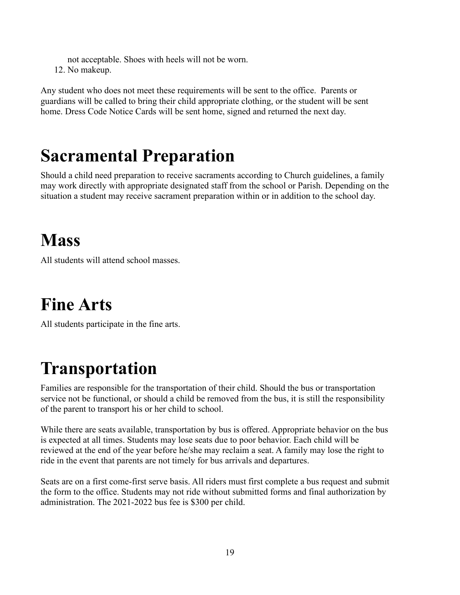not acceptable. Shoes with heels will not be worn.

12. No makeup.

Any student who does not meet these requirements will be sent to the office. Parents or guardians will be called to bring their child appropriate clothing, or the student will be sent home. Dress Code Notice Cards will be sent home, signed and returned the next day.

#### **Sacramental Preparation**

Should a child need preparation to receive sacraments according to Church guidelines, a family may work directly with appropriate designated staff from the school or Parish. Depending on the situation a student may receive sacrament preparation within or in addition to the school day.

#### **Mass**

All students will attend school masses.

### **Fine Arts**

All students participate in the fine arts.

### **Transportation**

Families are responsible for the transportation of their child. Should the bus or transportation service not be functional, or should a child be removed from the bus, it is still the responsibility of the parent to transport his or her child to school.

While there are seats available, transportation by bus is offered. Appropriate behavior on the bus is expected at all times. Students may lose seats due to poor behavior. Each child will be reviewed at the end of the year before he/she may reclaim a seat. A family may lose the right to ride in the event that parents are not timely for bus arrivals and departures.

Seats are on a first come-first serve basis. All riders must first complete a bus request and submit the form to the office. Students may not ride without submitted forms and final authorization by administration. The 2021-2022 bus fee is \$300 per child.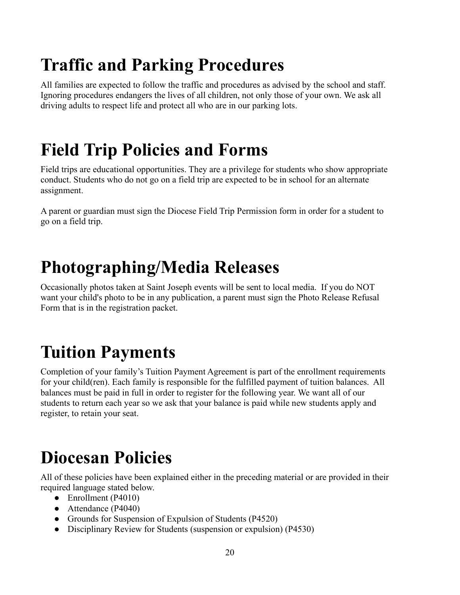## **Traffic and Parking Procedures**

All families are expected to follow the traffic and procedures as advised by the school and staff. Ignoring procedures endangers the lives of all children, not only those of your own. We ask all driving adults to respect life and protect all who are in our parking lots.

## **Field Trip Policies and Forms**

Field trips are educational opportunities. They are a privilege for students who show appropriate conduct. Students who do not go on a field trip are expected to be in school for an alternate assignment.

A parent or guardian must sign the Diocese Field Trip Permission form in order for a student to go on a field trip.

### **Photographing/Media Releases**

Occasionally photos taken at Saint Joseph events will be sent to local media. If you do NOT want your child's photo to be in any publication, a parent must sign the Photo Release Refusal Form that is in the registration packet.

### **Tuition Payments**

Completion of your family's Tuition Payment Agreement is part of the enrollment requirements for your child(ren). Each family is responsible for the fulfilled payment of tuition balances. All balances must be paid in full in order to register for the following year. We want all of our students to return each year so we ask that your balance is paid while new students apply and register, to retain your seat.

### **Diocesan Policies**

All of these policies have been explained either in the preceding material or are provided in their required language stated below.

- Enrollment (P4010)
- Attendance (P4040)
- Grounds for Suspension of Expulsion of Students (P4520)
- Disciplinary Review for Students (suspension or expulsion) (P4530)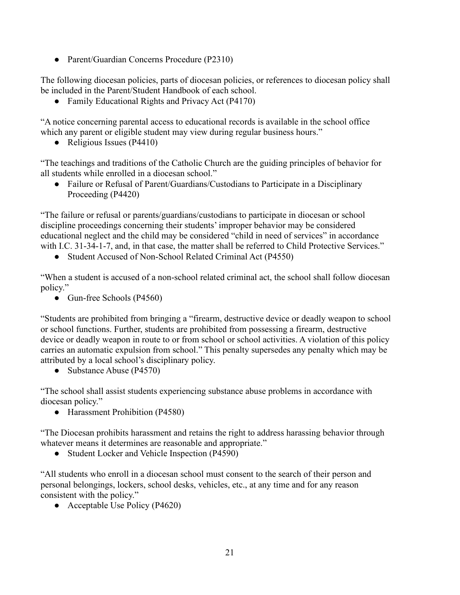• Parent/Guardian Concerns Procedure (P2310)

The following diocesan policies, parts of diocesan policies, or references to diocesan policy shall be included in the Parent/Student Handbook of each school.

• Family Educational Rights and Privacy Act (P4170)

"A notice concerning parental access to educational records is available in the school office which any parent or eligible student may view during regular business hours."

• Religious Issues (P4410)

"The teachings and traditions of the Catholic Church are the guiding principles of behavior for all students while enrolled in a diocesan school."

● Failure or Refusal of Parent/Guardians/Custodians to Participate in a Disciplinary Proceeding (P4420)

"The failure or refusal or parents/guardians/custodians to participate in diocesan or school discipline proceedings concerning their students' improper behavior may be considered educational neglect and the child may be considered "child in need of services" in accordance with I.C. 31-34-1-7, and, in that case, the matter shall be referred to Child Protective Services."

● Student Accused of Non-School Related Criminal Act (P4550)

"When a student is accused of a non-school related criminal act, the school shall follow diocesan policy."

• Gun-free Schools (P4560)

"Students are prohibited from bringing a "firearm, destructive device or deadly weapon to school or school functions. Further, students are prohibited from possessing a firearm, destructive device or deadly weapon in route to or from school or school activities. A violation of this policy carries an automatic expulsion from school." This penalty supersedes any penalty which may be attributed by a local school's disciplinary policy.

• Substance Abuse (P4570)

"The school shall assist students experiencing substance abuse problems in accordance with diocesan policy."

● Harassment Prohibition (P4580)

"The Diocesan prohibits harassment and retains the right to address harassing behavior through whatever means it determines are reasonable and appropriate."

• Student Locker and Vehicle Inspection (P4590)

"All students who enroll in a diocesan school must consent to the search of their person and personal belongings, lockers, school desks, vehicles, etc., at any time and for any reason consistent with the policy."

● Acceptable Use Policy (P4620)